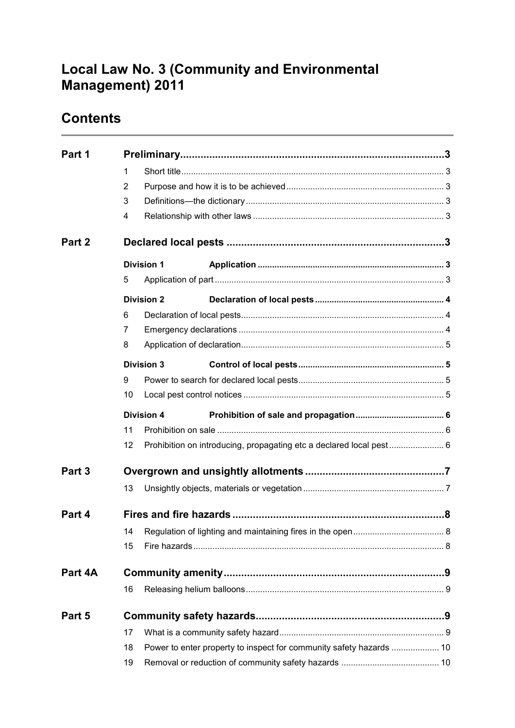# **Local Law No. 3 (Community and Environmental Management) 2011**

# **Contents**

| Part 1  |    |                                                                     |                                                                     |  |  |
|---------|----|---------------------------------------------------------------------|---------------------------------------------------------------------|--|--|
|         | 1  |                                                                     |                                                                     |  |  |
|         | 2  |                                                                     |                                                                     |  |  |
|         | 3  |                                                                     |                                                                     |  |  |
|         | 4  |                                                                     |                                                                     |  |  |
| Part 2  |    |                                                                     |                                                                     |  |  |
|         |    | <b>Division 1</b>                                                   |                                                                     |  |  |
|         | 5  |                                                                     |                                                                     |  |  |
|         |    | <b>Division 2</b>                                                   |                                                                     |  |  |
|         | 6  |                                                                     |                                                                     |  |  |
|         | 7  |                                                                     |                                                                     |  |  |
|         | 8  |                                                                     |                                                                     |  |  |
|         |    | <b>Division 3</b>                                                   |                                                                     |  |  |
|         | 9  |                                                                     |                                                                     |  |  |
|         | 10 |                                                                     |                                                                     |  |  |
|         |    | <b>Division 4</b>                                                   |                                                                     |  |  |
|         | 11 |                                                                     |                                                                     |  |  |
|         | 12 |                                                                     | Prohibition on introducing, propagating etc a declared local pest 6 |  |  |
| Part 3  |    |                                                                     |                                                                     |  |  |
|         | 13 |                                                                     |                                                                     |  |  |
| Part 4  |    |                                                                     |                                                                     |  |  |
|         | 14 |                                                                     |                                                                     |  |  |
|         | 15 |                                                                     |                                                                     |  |  |
| Part 4A |    |                                                                     |                                                                     |  |  |
|         | 16 |                                                                     |                                                                     |  |  |
| Part 5  |    |                                                                     |                                                                     |  |  |
|         | 17 |                                                                     |                                                                     |  |  |
|         | 18 | Power to enter property to inspect for community safety hazards  10 |                                                                     |  |  |
|         | 19 |                                                                     |                                                                     |  |  |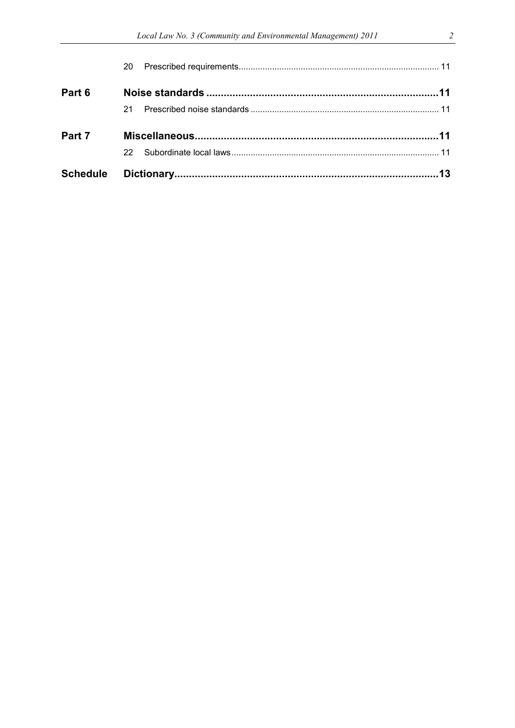|        | 22. |  |
|--------|-----|--|
| Part 7 |     |  |
|        | 21. |  |
| Part 6 |     |  |
|        |     |  |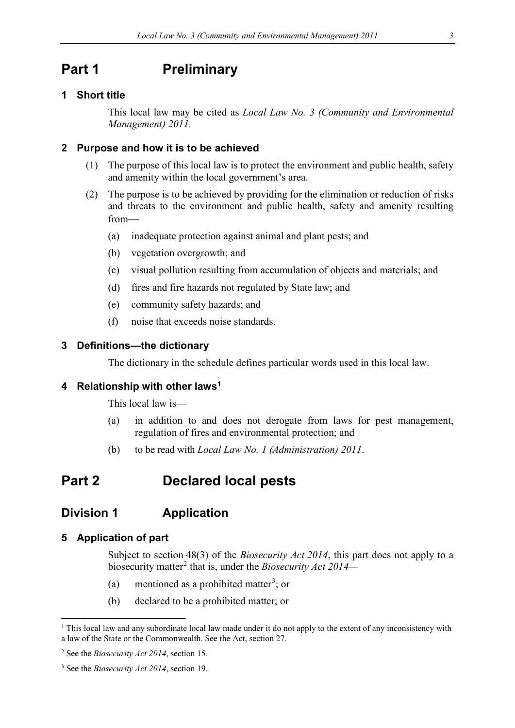## <span id="page-2-0"></span>**Part 1 Preliminary**

#### <span id="page-2-1"></span>**1 Short title**

This local law may be cited as *Local Law No. 3 (Community and Environmental Management) 2011.*

#### <span id="page-2-2"></span>**2 Purpose and how it is to be achieved**

- (1) The purpose of this local law is to protect the environment and public health, safety and amenity within the local government's area.
- (2) The purpose is to be achieved by providing for the elimination or reduction of risks and threats to the environment and public health, safety and amenity resulting from
	- (a) inadequate protection against animal and plant pests; and
	- (b) vegetation overgrowth; and
	- (c) visual pollution resulting from accumulation of objects and materials; and
	- (d) fires and fire hazards not regulated by State law; and
	- (e) community safety hazards; and
	- (f) noise that exceeds noise standards.

### <span id="page-2-3"></span>**3 Definitions—the dictionary**

The dictionary in the schedule defines particular words used in this local law.

### <span id="page-2-4"></span>**4 Relationship with other law[s1](#page-2-8)**

This local law is—

- (a) in addition to and does not derogate from laws for pest management, regulation of fires and environmental protection; and
- (b) to be read with *Local Law No. 1 (Administration) 2011*.

## <span id="page-2-5"></span>**Part 2 Declared local pests**

## <span id="page-2-6"></span>**Division 1 Application**

#### <span id="page-2-7"></span>**5 Application of part**

Subject to section 48(3) of the *Biosecurity Act 2014*, this part does not apply to a biosecurity matter[2](#page-2-9) that is, under the *Biosecurity Act 2014—*

- (a) mentioned as a prohibited matter<sup>[3](#page-2-10)</sup>; or
- (b) declared to be a prohibited matter; or

<span id="page-2-8"></span><sup>&</sup>lt;sup>1</sup> This local law and any subordinate local law made under it do not apply to the extent of any inconsistency with a law of the State or the Commonwealth. See the Act, section 27.

<span id="page-2-9"></span><sup>2</sup> See the *Biosecurity Act 2014*, section 15.

<span id="page-2-10"></span><sup>3</sup> See the *Biosecurity Act 2014*, section 19.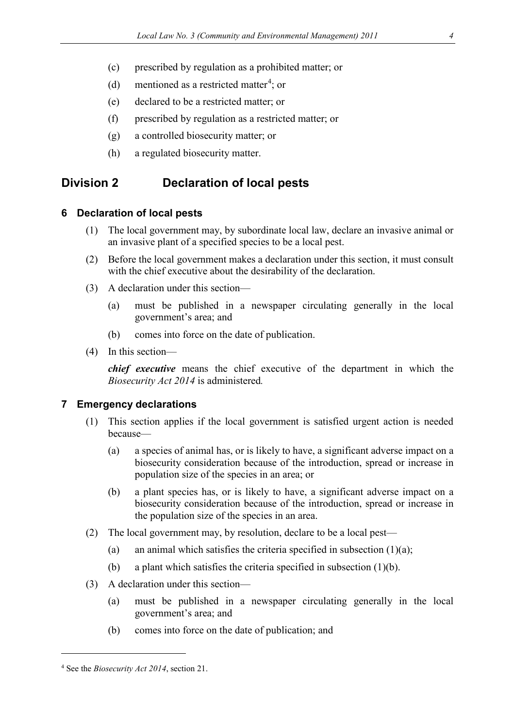- (c) prescribed by regulation as a prohibited matter; or
- (d) mentioned as a restricted matter<sup>[4](#page-3-3)</sup>; or
- (e) declared to be a restricted matter; or
- (f) prescribed by regulation as a restricted matter; or
- (g) a controlled biosecurity matter; or
- (h) a regulated biosecurity matter.

## <span id="page-3-0"></span>**Division 2 Declaration of local pests**

#### <span id="page-3-1"></span>**6 Declaration of local pests**

- (1) The local government may, by subordinate local law, declare an invasive animal or an invasive plant of a specified species to be a local pest.
- (2) Before the local government makes a declaration under this section, it must consult with the chief executive about the desirability of the declaration.
- (3) A declaration under this section—
	- (a) must be published in a newspaper circulating generally in the local government's area; and
	- (b) comes into force on the date of publication.
- (4) In this section—

*chief executive* means the chief executive of the department in which the *Biosecurity Act 2014* is administered*.*

#### <span id="page-3-2"></span>**7 Emergency declarations**

- (1) This section applies if the local government is satisfied urgent action is needed because—
	- (a) a species of animal has, or is likely to have, a significant adverse impact on a biosecurity consideration because of the introduction, spread or increase in population size of the species in an area; or
	- (b) a plant species has, or is likely to have, a significant adverse impact on a biosecurity consideration because of the introduction, spread or increase in the population size of the species in an area.
- (2) The local government may, by resolution, declare to be a local pest—
	- (a) an animal which satisfies the criteria specified in subsection  $(1)(a)$ ;
	- (b) a plant which satisfies the criteria specified in subsection  $(1)(b)$ .
- (3) A declaration under this section—
	- (a) must be published in a newspaper circulating generally in the local government's area; and
	- (b) comes into force on the date of publication; and

<u>.</u>

<span id="page-3-3"></span><sup>4</sup> See the *Biosecurity Act 2014*, section 21.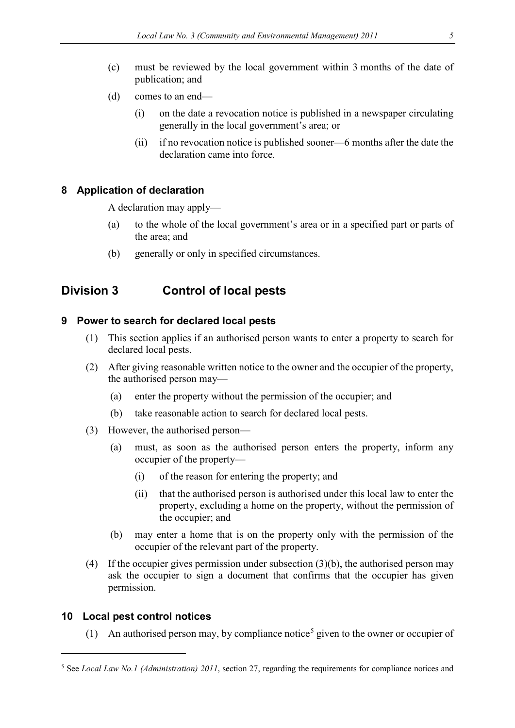- (c) must be reviewed by the local government within 3 months of the date of publication; and
- (d) comes to an end—
	- (i) on the date a revocation notice is published in a newspaper circulating generally in the local government's area; or
	- (ii) if no revocation notice is published sooner—6 months after the date the declaration came into force.

### <span id="page-4-0"></span>**8 Application of declaration**

A declaration may apply—

- (a) to the whole of the local government's area or in a specified part or parts of the area; and
- (b) generally or only in specified circumstances.

## <span id="page-4-1"></span>**Division 3 Control of local pests**

#### <span id="page-4-2"></span>**9 Power to search for declared local pests**

- (1) This section applies if an authorised person wants to enter a property to search for declared local pests.
- (2) After giving reasonable written notice to the owner and the occupier of the property, the authorised person may—
	- (a) enter the property without the permission of the occupier; and
	- (b) take reasonable action to search for declared local pests.
- (3) However, the authorised person—
	- (a) must, as soon as the authorised person enters the property, inform any occupier of the property—
		- (i) of the reason for entering the property; and
		- (ii) that the authorised person is authorised under this local law to enter the property, excluding a home on the property, without the permission of the occupier; and
	- (b) may enter a home that is on the property only with the permission of the occupier of the relevant part of the property.
- (4) If the occupier gives permission under subsection (3)(b), the authorised person may ask the occupier to sign a document that confirms that the occupier has given permission.

### <span id="page-4-3"></span>**10 Local pest control notices**

<u>.</u>

(1) An authorised person may, by compliance notice<sup>[5](#page-4-4)</sup> given to the owner or occupier of

<span id="page-4-4"></span><sup>5</sup> See *Local Law No.1 (Administration) 2011*, section 27, regarding the requirements for compliance notices and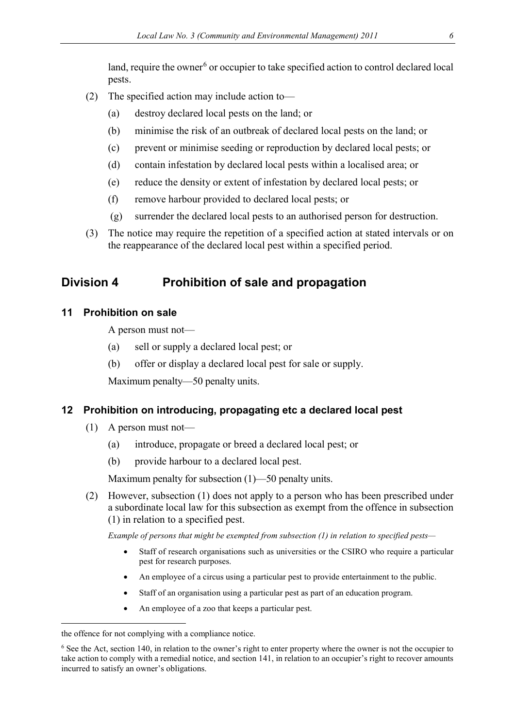land, require the owner<sup>[6](#page-5-3)</sup> or occupier to take specified action to control declared local pests.

- (2) The specified action may include action to—
	- (a) destroy declared local pests on the land; or
	- (b) minimise the risk of an outbreak of declared local pests on the land; or
	- (c) prevent or minimise seeding or reproduction by declared local pests; or
	- (d) contain infestation by declared local pests within a localised area; or
	- (e) reduce the density or extent of infestation by declared local pests; or
	- (f) remove harbour provided to declared local pests; or
	- (g) surrender the declared local pests to an authorised person for destruction.
- (3) The notice may require the repetition of a specified action at stated intervals or on the reappearance of the declared local pest within a specified period.

## <span id="page-5-0"></span>**Division 4 Prohibition of sale and propagation**

### <span id="page-5-1"></span>**11 Prohibition on sale**

A person must not—

- (a) sell or supply a declared local pest; or
- (b) offer or display a declared local pest for sale or supply.

Maximum penalty—50 penalty units.

### <span id="page-5-2"></span>**12 Prohibition on introducing, propagating etc a declared local pest**

- (1) A person must not—
	- (a) introduce, propagate or breed a declared local pest; or
	- (b) provide harbour to a declared local pest.

Maximum penalty for subsection (1)—50 penalty units.

(2) However, subsection (1) does not apply to a person who has been prescribed under a subordinate local law for this subsection as exempt from the offence in subsection (1) in relation to a specified pest.

*Example of persons that might be exempted from subsection (1) in relation to specified pests—*

- Staff of research organisations such as universities or the CSIRO who require a particular pest for research purposes.
- An employee of a circus using a particular pest to provide entertainment to the public.
- Staff of an organisation using a particular pest as part of an education program.
- An employee of a zoo that keeps a particular pest.

<u>.</u>

the offence for not complying with a compliance notice.

<span id="page-5-3"></span><sup>&</sup>lt;sup>6</sup> See the Act, section 140, in relation to the owner's right to enter property where the owner is not the occupier to take action to comply with a remedial notice, and section 141, in relation to an occupier's right to recover amounts incurred to satisfy an owner's obligations.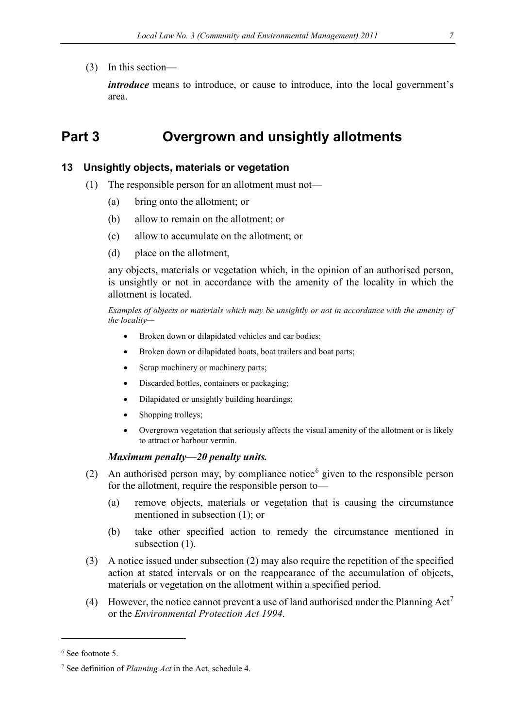### (3) In this section—

*introduce* means to introduce, or cause to introduce, into the local government's area.

# <span id="page-6-0"></span>**Part 3 Overgrown and unsightly allotments**

### <span id="page-6-1"></span>**13 Unsightly objects, materials or vegetation**

- (1) The responsible person for an allotment must not—
	- (a) bring onto the allotment; or
	- (b) allow to remain on the allotment; or
	- (c) allow to accumulate on the allotment; or
	- (d) place on the allotment,

any objects, materials or vegetation which, in the opinion of an authorised person, is unsightly or not in accordance with the amenity of the locality in which the allotment is located.

*Examples of objects or materials which may be unsightly or not in accordance with the amenity of the locality—*

- Broken down or dilapidated vehicles and car bodies;
- Broken down or dilapidated boats, boat trailers and boat parts;
- Scrap machinery or machinery parts;
- Discarded bottles, containers or packaging;
- Dilapidated or unsightly building hoardings;
- Shopping trolleys;
- Overgrown vegetation that seriously affects the visual amenity of the allotment or is likely to attract or harbour vermin.

#### *Maximum penalty—20 penalty units.*

- (2) An authorised person may, by compliance notice  $\delta$  given to the responsible person for the allotment, require the responsible person to—
	- (a) remove objects, materials or vegetation that is causing the circumstance mentioned in subsection (1); or
	- (b) take other specified action to remedy the circumstance mentioned in subsection (1).
- (3) A notice issued under subsection (2) may also require the repetition of the specified action at stated intervals or on the reappearance of the accumulation of objects, materials or vegetation on the allotment within a specified period.
- (4) However, the notice cannot prevent a use of land authorised under the Planning Act<sup>[7](#page-6-3)</sup> or the *Environmental Protection Act 1994*.

-

<span id="page-6-2"></span><sup>6</sup> See footnote 5.

<span id="page-6-3"></span><sup>7</sup> See definition of *Planning Act* in the Act, schedule 4.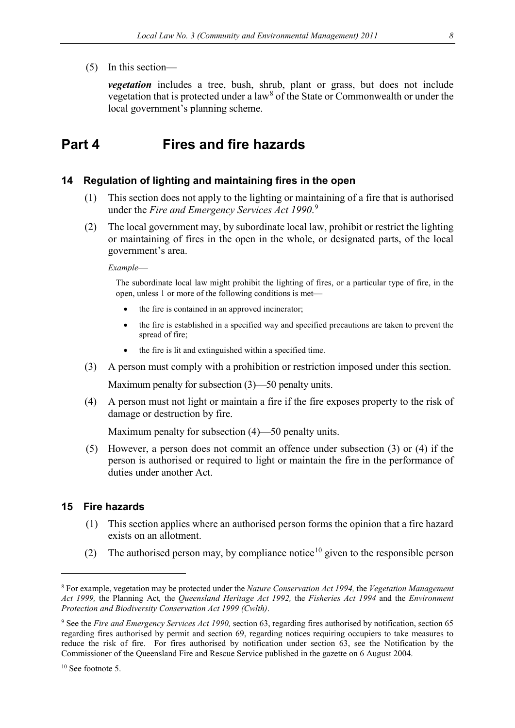(5) In this section—

*vegetation* includes a tree, bush, shrub, plant or grass, but does not include vegetation that is protected under a  $law<sup>8</sup>$  $law<sup>8</sup>$  $law<sup>8</sup>$  of the State or Commonwealth or under the local government's planning scheme.

## <span id="page-7-0"></span>**Part 4 Fires and fire hazards**

#### <span id="page-7-1"></span>**14 Regulation of lighting and maintaining fires in the open**

- (1) This section does not apply to the lighting or maintaining of a fire that is authorised under the *Fire and Emergency Services Act 1990*. [9](#page-7-4)
- (2) The local government may, by subordinate local law, prohibit or restrict the lighting or maintaining of fires in the open in the whole, or designated parts, of the local government's area.

*Example*

The subordinate local law might prohibit the lighting of fires, or a particular type of fire, in the open, unless 1 or more of the following conditions is met

- the fire is contained in an approved incinerator;
- the fire is established in a specified way and specified precautions are taken to prevent the spread of fire;
- the fire is lit and extinguished within a specified time.
- (3) A person must comply with a prohibition or restriction imposed under this section.

Maximum penalty for subsection  $(3)$ —50 penalty units.

(4) A person must not light or maintain a fire if the fire exposes property to the risk of damage or destruction by fire.

Maximum penalty for subsection  $(4)$ —50 penalty units.

(5) However, a person does not commit an offence under subsection (3) or (4) if the person is authorised or required to light or maintain the fire in the performance of duties under another Act.

#### <span id="page-7-2"></span>**15 Fire hazards**

- (1) This section applies where an authorised person forms the opinion that a fire hazard exists on an allotment.
- (2) The authorised person may, by compliance notice<sup>[10](#page-7-5)</sup> given to the responsible person

-

<span id="page-7-3"></span><sup>8</sup> For example, vegetation may be protected under the *Nature Conservation Act 1994,* the *Vegetation Management Act 1999,* the Planning Act*,* the *Queensland Heritage Act 1992,* the *Fisheries Act 1994* and the *Environment Protection and Biodiversity Conservation Act 1999 (Cwlth)*.

<span id="page-7-4"></span><sup>9</sup> See the *Fire and Emergency Services Act 1990,* section 63, regarding fires authorised by notification, section 65 regarding fires authorised by permit and section 69, regarding notices requiring occupiers to take measures to reduce the risk of fire. For fires authorised by notification under section 63, see the Notification by the Commissioner of the Queensland Fire and Rescue Service published in the gazette on 6 August 2004.

<span id="page-7-5"></span><sup>&</sup>lt;sup>10</sup> See footnote 5.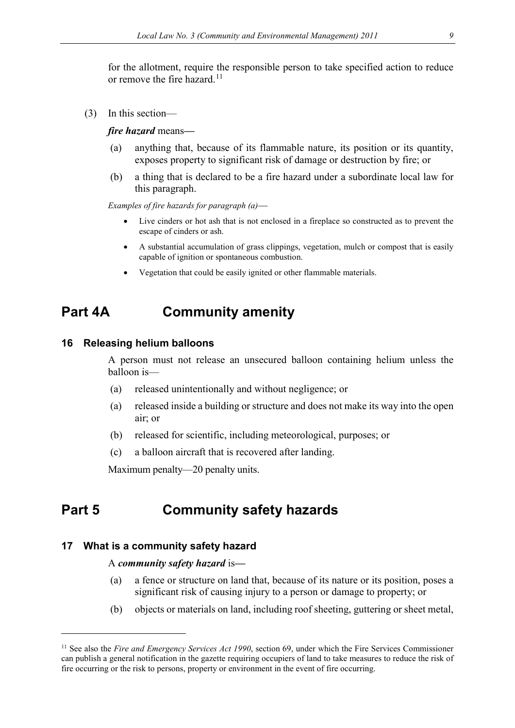for the allotment, require the responsible person to take specified action to reduce or remove the fire hazard.<sup>[11](#page-8-4)</sup>

(3) In this section—

#### *fire hazard* means*—*

- (a) anything that, because of its flammable nature, its position or its quantity, exposes property to significant risk of damage or destruction by fire; or
- (b) a thing that is declared to be a fire hazard under a subordinate local law for this paragraph.

*Examples of fire hazards for paragraph (a)*

- Live cinders or hot ash that is not enclosed in a fireplace so constructed as to prevent the escape of cinders or ash.
- A substantial accumulation of grass clippings, vegetation, mulch or compost that is easily capable of ignition or spontaneous combustion.
- Vegetation that could be easily ignited or other flammable materials.

## <span id="page-8-0"></span>**Part 4A Community amenity**

#### <span id="page-8-1"></span>**16 Releasing helium balloons**

A person must not release an unsecured balloon containing helium unless the balloon is—

- (a) released unintentionally and without negligence; or
- (a) released inside a building or structure and does not make its way into the open air; or
- (b) released for scientific, including meteorological, purposes; or
- (c) a balloon aircraft that is recovered after landing.

Maximum penalty—20 penalty units.

## <span id="page-8-2"></span>**Part 5 Community safety hazards**

#### <span id="page-8-3"></span>**17 What is a community safety hazard**

<u>.</u>

#### A *community safety hazard* is*—*

- (a) a fence or structure on land that, because of its nature or its position, poses a significant risk of causing injury to a person or damage to property; or
- (b) objects or materials on land, including roof sheeting, guttering or sheet metal,

<span id="page-8-4"></span><sup>&</sup>lt;sup>11</sup> See also the *Fire and Emergency Services Act 1990*, section 69, under which the Fire Services Commissioner can publish a general notification in the gazette requiring occupiers of land to take measures to reduce the risk of fire occurring or the risk to persons, property or environment in the event of fire occurring.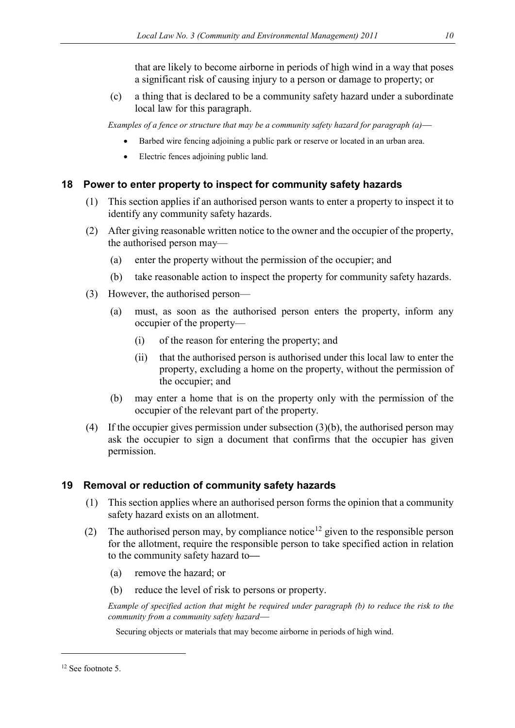that are likely to become airborne in periods of high wind in a way that poses a significant risk of causing injury to a person or damage to property; or

(c) a thing that is declared to be a community safety hazard under a subordinate local law for this paragraph.

*Examples of a fence or structure that may be a community safety hazard for paragraph (a)*

- Barbed wire fencing adjoining a public park or reserve or located in an urban area.
- Electric fences adjoining public land.

## <span id="page-9-0"></span>**18 Power to enter property to inspect for community safety hazards**

- (1) This section applies if an authorised person wants to enter a property to inspect it to identify any community safety hazards.
- (2) After giving reasonable written notice to the owner and the occupier of the property, the authorised person may—
	- (a) enter the property without the permission of the occupier; and
	- (b) take reasonable action to inspect the property for community safety hazards.
- (3) However, the authorised person—
	- (a) must, as soon as the authorised person enters the property, inform any occupier of the property—
		- (i) of the reason for entering the property; and
		- (ii) that the authorised person is authorised under this local law to enter the property, excluding a home on the property, without the permission of the occupier; and
	- (b) may enter a home that is on the property only with the permission of the occupier of the relevant part of the property.
- (4) If the occupier gives permission under subsection  $(3)(b)$ , the authorised person may ask the occupier to sign a document that confirms that the occupier has given permission.

## <span id="page-9-1"></span>**19 Removal or reduction of community safety hazards**

- (1) This section applies where an authorised person forms the opinion that a community safety hazard exists on an allotment.
- (2) The authorised person may, by compliance notice<sup>[12](#page-9-2)</sup> given to the responsible person for the allotment, require the responsible person to take specified action in relation to the community safety hazard to*—*
	- (a) remove the hazard; or
	- (b) reduce the level of risk to persons or property.

*Example of specified action that might be required under paragraph (b) to reduce the risk to the community from a community safety hazard*

Securing objects or materials that may become airborne in periods of high wind.

<u>.</u>

<span id="page-9-2"></span><sup>12</sup> See footnote 5.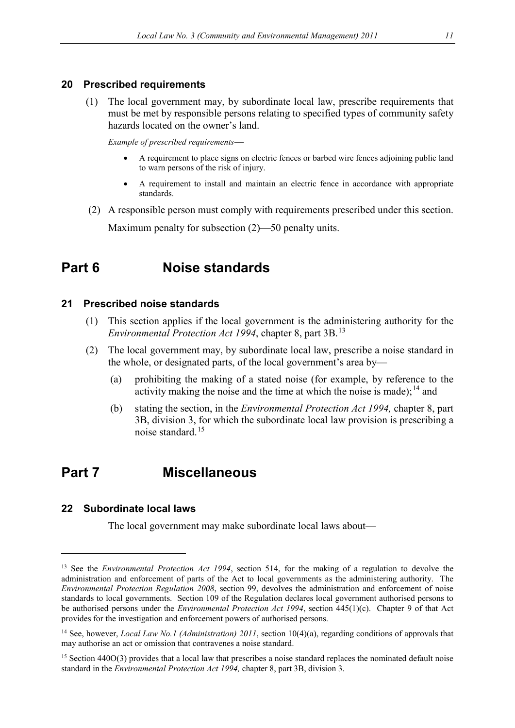#### <span id="page-10-0"></span>**20 Prescribed requirements**

(1) The local government may, by subordinate local law, prescribe requirements that must be met by responsible persons relating to specified types of community safety hazards located on the owner's land.

*Example of prescribed requirements*

- A requirement to place signs on electric fences or barbed wire fences adjoining public land to warn persons of the risk of injury.
- A requirement to install and maintain an electric fence in accordance with appropriate standards.
- (2) A responsible person must comply with requirements prescribed under this section. Maximum penalty for subsection  $(2)$ —50 penalty units.

## <span id="page-10-1"></span>**Part 6 Noise standards**

### <span id="page-10-2"></span>**21 Prescribed noise standards**

- (1) This section applies if the local government is the administering authority for the *Environmental Protection Act 1994*, chapter 8, part 3B. [13](#page-10-5)
- (2) The local government may, by subordinate local law, prescribe a noise standard in the whole, or designated parts, of the local government's area by—
	- (a) prohibiting the making of a stated noise (for example, by reference to the activity making the noise and the time at which the noise is made);<sup>[14](#page-10-6)</sup> and
	- (b) stating the section, in the *Environmental Protection Act 1994,* chapter 8, part 3B, division 3, for which the subordinate local law provision is prescribing a noise standard.[15](#page-10-7)

## <span id="page-10-3"></span>**Part 7 Miscellaneous**

### <span id="page-10-4"></span>**22 Subordinate local laws**

<u>.</u>

The local government may make subordinate local laws about—

<span id="page-10-5"></span><sup>&</sup>lt;sup>13</sup> See the *Environmental Protection Act 1994*, section 514, for the making of a regulation to devolve the administration and enforcement of parts of the Act to local governments as the administering authority. The *Environmental Protection Regulation 2008*, section 99, devolves the administration and enforcement of noise standards to local governments. Section 109 of the Regulation declares local government authorised persons to be authorised persons under the *Environmental Protection Act 1994*, section 445(1)(c). Chapter 9 of that Act provides for the investigation and enforcement powers of authorised persons.

<span id="page-10-6"></span><sup>&</sup>lt;sup>14</sup> See, however, *Local Law No.1 (Administration) 2011*, section 10(4)(a), regarding conditions of approvals that may authorise an act or omission that contravenes a noise standard.

<span id="page-10-7"></span> $15$  Section 440O(3) provides that a local law that prescribes a noise standard replaces the nominated default noise standard in the *Environmental Protection Act 1994,* chapter 8, part 3B, division 3.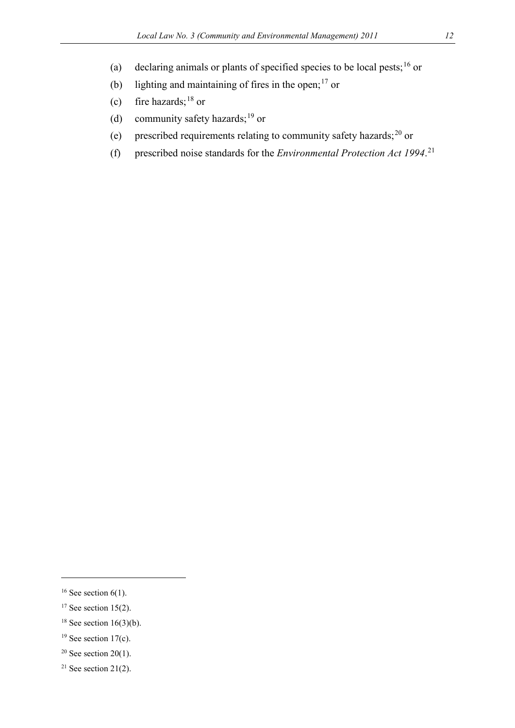- (a) declaring animals or plants of specified species to be local pests;<sup>[16](#page-11-0)</sup> or
- (b) lighting and maintaining of fires in the open;<sup>[17](#page-11-1)</sup> or
- (c) fire hazards;<sup>[18](#page-11-2)</sup> or
- (d) community safety hazards;<sup>[19](#page-11-3)</sup> or
- (e) prescribed requirements relating to community safety hazards;[20](#page-11-4) or
- (f) prescribed noise standards for the *Environmental Protection Act 1994*. [21](#page-11-5)

-

- <span id="page-11-1"></span> $17$  See section 15(2).
- <span id="page-11-2"></span><sup>18</sup> See section 16(3)(b).
- <span id="page-11-3"></span> $19$  See section 17(c).
- <span id="page-11-4"></span><sup>20</sup> See section 20(1).
- <span id="page-11-5"></span><sup>21</sup> See section 21(2).

<span id="page-11-0"></span><sup>&</sup>lt;sup>16</sup> See section  $6(1)$ .